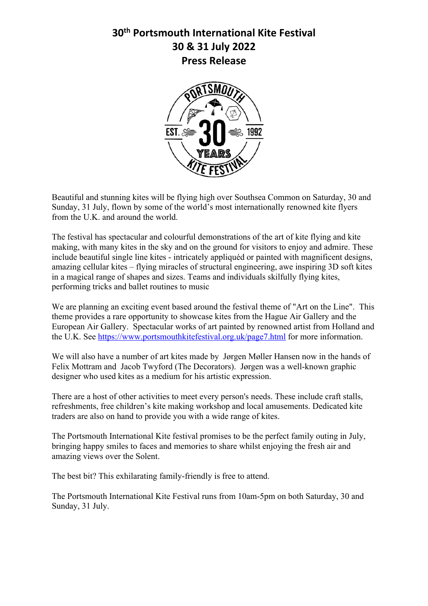## **30th Portsmouth International Kite Festival 30 & 31 July 2022 Press Release**



Beautiful and stunning kites will be flying high over Southsea Common on Saturday, 30 and Sunday, 31 July, flown by some of the world's most internationally renowned kite flyers from the U.K. and around the world.

The festival has spectacular and colourful demonstrations of the art of kite flying and kite making, with many kites in the sky and on the ground for visitors to enjoy and admire. These include beautiful single line kites - intricately appliquéd or painted with magnificent designs, amazing cellular kites – flying miracles of structural engineering, awe inspiring 3D soft kites in a magical range of shapes and sizes. Teams and individuals skilfully flying kites, performing tricks and ballet routines to music

We are planning an exciting event based around the festival theme of "Art on the Line". This theme provides a rare opportunity to showcase kites from the Hague Air Gallery and the European Air Gallery. Spectacular works of art painted by renowned artist from Holland and the U.K. See https://www.portsmouthkitefestival.org.uk/page7.html for more information.

We will also have a number of art kites made by Jørgen Møller Hansen now in the hands of Felix Mottram and Jacob Twyford (The Decorators). Jørgen was a well-known graphic designer who used kites as a medium for his artistic expression.

There are a host of other activities to meet every person's needs. These include craft stalls, refreshments, free children's kite making workshop and local amusements. Dedicated kite traders are also on hand to provide you with a wide range of kites.

The Portsmouth International Kite festival promises to be the perfect family outing in July, bringing happy smiles to faces and memories to share whilst enjoying the fresh air and amazing views over the Solent.

The best bit? This exhilarating family-friendly is free to attend.

The Portsmouth International Kite Festival runs from 10am-5pm on both Saturday, 30 and Sunday, 31 July.